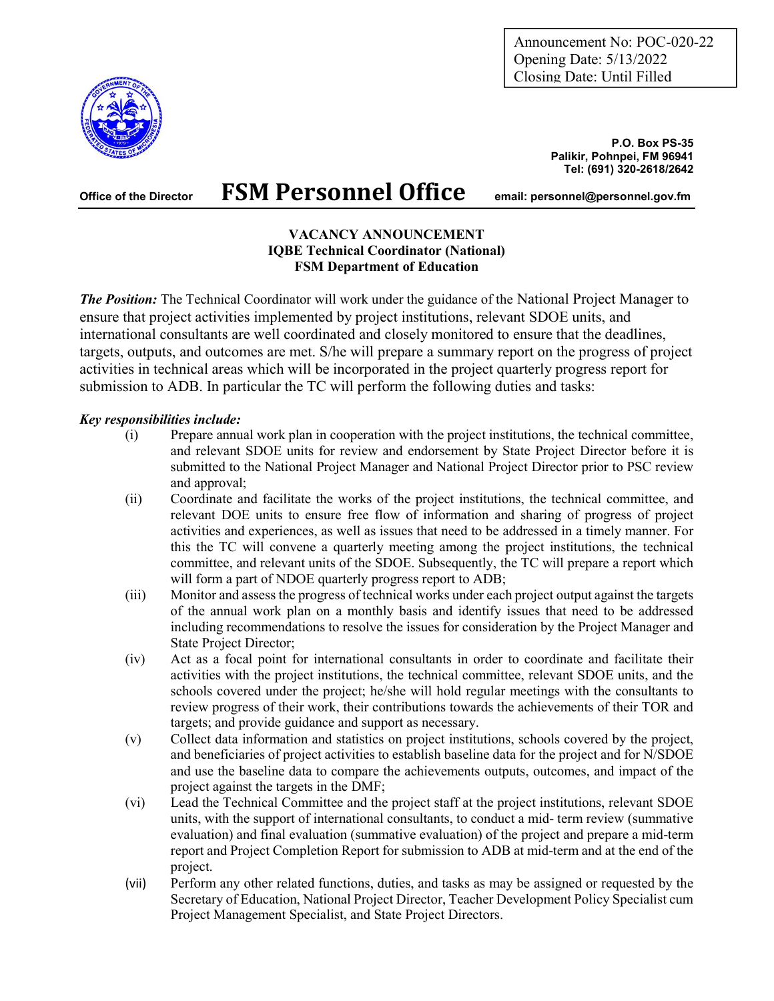Announcement No: POC-020-22 Opening Date: 5/13/2022 Closing Date: Until Filled



Office of the Director FSM Personnel Office email: personnel@personnel.gov.fm

# Tel: (691) 320-2618/2642

Palikir, Pohnpei, FM 96941

P.O. Box PS-35

#### VACANCY ANNOUNCEMENT IQBE Technical Coordinator (National) FSM Department of Education

**The Position:** The Technical Coordinator will work under the guidance of the National Project Manager to ensure that project activities implemented by project institutions, relevant SDOE units, and international consultants are well coordinated and closely monitored to ensure that the deadlines, targets, outputs, and outcomes are met. S/he will prepare a summary report on the progress of project activities in technical areas which will be incorporated in the project quarterly progress report for submission to ADB. In particular the TC will perform the following duties and tasks:

### Key responsibilities include:

- (i) Prepare annual work plan in cooperation with the project institutions, the technical committee, and relevant SDOE units for review and endorsement by State Project Director before it is submitted to the National Project Manager and National Project Director prior to PSC review and approval;
- (ii) Coordinate and facilitate the works of the project institutions, the technical committee, and relevant DOE units to ensure free flow of information and sharing of progress of project activities and experiences, as well as issues that need to be addressed in a timely manner. For this the TC will convene a quarterly meeting among the project institutions, the technical committee, and relevant units of the SDOE. Subsequently, the TC will prepare a report which will form a part of NDOE quarterly progress report to ADB;
- (iii) Monitor and assess the progress of technical works under each project output against the targets of the annual work plan on a monthly basis and identify issues that need to be addressed including recommendations to resolve the issues for consideration by the Project Manager and State Project Director;
- (iv) Act as a focal point for international consultants in order to coordinate and facilitate their activities with the project institutions, the technical committee, relevant SDOE units, and the schools covered under the project; he/she will hold regular meetings with the consultants to review progress of their work, their contributions towards the achievements of their TOR and targets; and provide guidance and support as necessary.
- (v) Collect data information and statistics on project institutions, schools covered by the project, and beneficiaries of project activities to establish baseline data for the project and for N/SDOE and use the baseline data to compare the achievements outputs, outcomes, and impact of the project against the targets in the DMF;
- (vi) Lead the Technical Committee and the project staff at the project institutions, relevant SDOE units, with the support of international consultants, to conduct a mid- term review (summative evaluation) and final evaluation (summative evaluation) of the project and prepare a mid-term report and Project Completion Report for submission to ADB at mid-term and at the end of the project.
- (vii) Perform any other related functions, duties, and tasks as may be assigned or requested by the Secretary of Education, National Project Director, Teacher Development Policy Specialist cum Project Management Specialist, and State Project Directors.